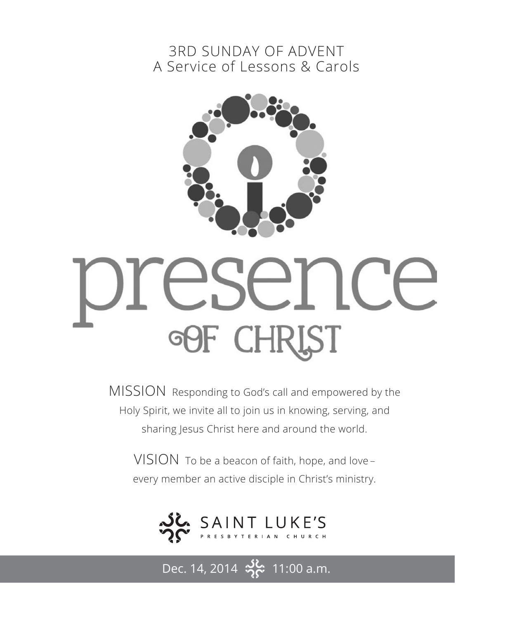### 3RD SUNDAY OF ADVENT A Service of Lessons & Carols



# eser ice **OOF CHRI** ST

MISSION Responding to God's call and empowered by the Holy Spirit, we invite all to join us in knowing, serving, and sharing Jesus Christ here and around the world.

VISION To be a beacon of faith, hope, and love – every member an active disciple in Christ's ministry.



Dec. 14, 2014  $\frac{36}{2}$  11:00 a.m.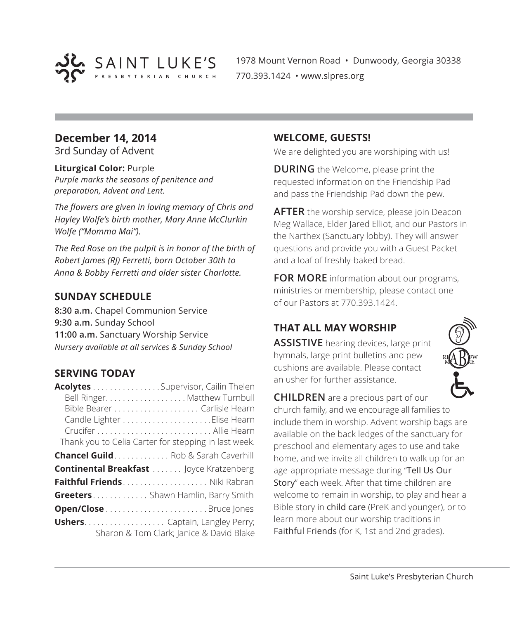

1978 Mount Vernon Road • Dunwoody, Georgia 30338 770.393.1424 • www.slpres.org

#### **December 14, 2014**

3rd Sunday of Advent

#### **Liturgical Color:** Purple

*Purple marks the seasons of penitence and preparation, Advent and Lent.*

*The flowers are given in loving memory of Chris and Hayley Wolfe's birth mother, Mary Anne McClurkin Wolfe ("Momma Mai").*

*The Red Rose on the pulpit is in honor of the birth of Robert James (RJ) Ferretti, born October 30th to Anna & Bobby Ferretti and older sister Charlotte.*

#### **SUNDAY SCHEDULE**

**8:30 a.m.** Chapel Communion Service **9:30 a.m.** Sunday School **11:00 a.m.** Sanctuary Worship Service *Nursery available at all services & Sunday School*

#### **SERVING TODAY**

| Acolytes Supervisor, Cailin Thelen                   |                                          |
|------------------------------------------------------|------------------------------------------|
|                                                      | Bell Ringer. Matthew Turnbull            |
|                                                      |                                          |
|                                                      |                                          |
|                                                      |                                          |
| Thank you to Celia Carter for stepping in last week. |                                          |
| <b>Chancel Guild</b> . Rob & Sarah Caverhill         |                                          |
| <b>Continental Breakfast </b> Joyce Kratzenberg      |                                          |
|                                                      |                                          |
| Greeters Shawn Hamlin, Barry Smith                   |                                          |
|                                                      |                                          |
| <b>Ushers</b> Captain, Langley Perry;                | Sharon & Tom Clark; Janice & David Blake |

#### **WELCOME, GUESTS!**

We are delighted you are worshiping with us!

**DURING** the Welcome, please print the requested information on the Friendship Pad and pass the Friendship Pad down the pew.

**AFTER** the worship service, please join Deacon Meg Wallace, Elder Jared Elliot, and our Pastors in the Narthex (Sanctuary lobby). They will answer questions and provide you with a Guest Packet and a loaf of freshly-baked bread.

**FOR MORE** information about our programs, ministries or membership, please contact one of our Pastors at 770.393.1424.

#### **THAT ALL MAY WORSHIP**

**ASSISTIVE** hearing devices, large print hymnals, large print bulletins and pew cushions are available. Please contact an usher for further assistance.



**CHILDREN** are a precious part of our church family, and we encourage all families to include them in worship. Advent worship bags are available on the back ledges of the sanctuary for preschool and elementary ages to use and take home, and we invite all children to walk up for an age-appropriate message during "Tell Us Our Story" each week. After that time children are welcome to remain in worship, to play and hear a Bible story in child care (PreK and younger), or to learn more about our worship traditions in Faithful Friends (for K, 1st and 2nd grades).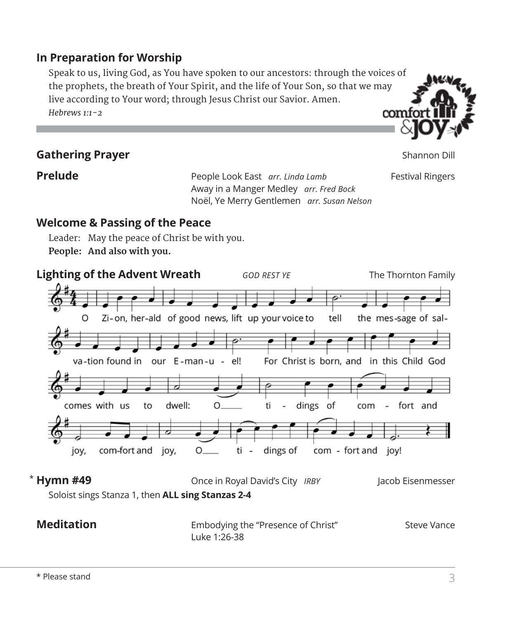#### **In Preparation for Worship**

 Speak to us, living God, as You have spoken to our ancestors: through the voices of the prophets, the breath of Your Spirit, and the life of Your Son, so that we may live according to Your word; through Jesus Christ our Savior. Amen. *Hebrews 1:1-2* comfo

#### **Gathering Prayer** Shannon Dill

**Prelude Prelude People Look East** *arr. Linda Lamb* **Festival Ringers**  Away in a Manger Medley *arr. Fred Bock* Noël, Ye Merry Gentlemen *arr. Susan Nelson*

**Welcome & Passing of the Peace**

Leader: May the peace of Christ be with you. **People: And also with you.**



#### **Meditation** Embodying the "Presence of Christ" Steve Vance Luke 1:26-38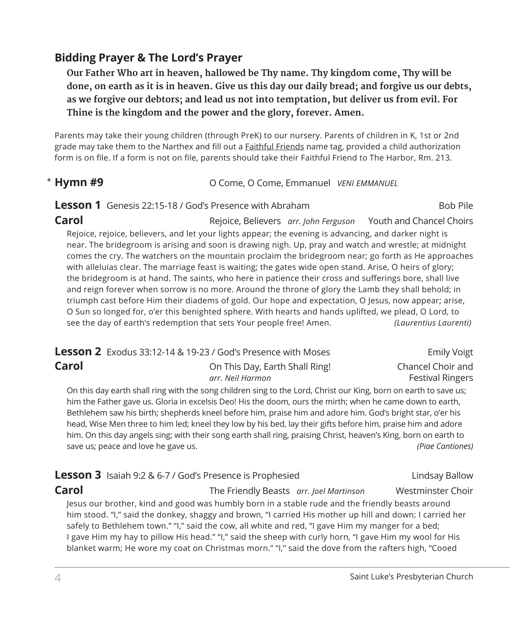#### **Bidding Prayer & The Lord's Prayer**

 **Our Father Who art in heaven, hallowed be Thy name. Thy kingdom come, Thy will be done, on earth as it is in heaven. Give us this day our daily bread; and forgive us our debts, as we forgive our debtors; and lead us not into temptation, but deliver us from evil. For Thine is the kingdom and the power and the glory, forever. Amen.**

Parents may take their young children (through PreK) to our nursery. Parents of children in K, 1st or 2nd grade may take them to the Narthex and fill out a **Faithful Friends** name tag, provided a child authorization form is on file. If a form is not on file, parents should take their Faithful Friend to The Harbor, Rm. 213.

#### **O Come, O Come, Emmanuel** *VENI EMMANUEL*  $*$  Hymn #9

**Lesson 1** Genesis 22:15-18 / God's Presence with Abraham Bob Pile

**Carol Carol Rejoice, Believers** *arr. John Ferguson* Youth and Chancel Choirs Rejoice, rejoice, believers, and let your lights appear; the evening is advancing, and darker night is near. The bridegroom is arising and soon is drawing nigh. Up, pray and watch and wrestle; at midnight comes the cry. The watchers on the mountain proclaim the bridegroom near; go forth as He approaches with alleluias clear. The marriage feast is waiting; the gates wide open stand. Arise, O heirs of glory; the bridegroom is at hand. The saints, who here in patience their cross and sufferings bore, shall live and reign forever when sorrow is no more. Around the throne of glory the Lamb they shall behold; in triumph cast before Him their diadems of gold. Our hope and expectation, O Jesus, now appear; arise, O Sun so longed for, o'er this benighted sphere. With hearts and hands uplifted, we plead, O Lord, to see the day of earth's redemption that sets Your people free! Amen. *(Laurentius Laurenti)*

|       | <b>Lesson 2</b> Exodus 33:12-14 & 19-23 / God's Presence with Moses | <b>Emily Voigt</b>      |
|-------|---------------------------------------------------------------------|-------------------------|
| Carol | On This Day, Earth Shall Ring!                                      | Chancel Choir and       |
|       | arr. Neil Harmon                                                    | <b>Festival Ringers</b> |

 On this day earth shall ring with the song children sing to the Lord, Christ our King, born on earth to save us; him the Father gave us. Gloria in excelsis Deo! His the doom, ours the mirth; when he came down to earth, Bethlehem saw his birth; shepherds kneel before him, praise him and adore him. God's bright star, o'er his head, Wise Men three to him led; kneel they low by his bed, lay their gifts before him, praise him and adore him. On this day angels sing; with their song earth shall ring, praising Christ, heaven's King, born on earth to save us; peace and love he gave us. *(Piae Cantiones)*

**Lesson 3** Isaiah 9:2 & 6-7 / God's Presence is Prophesied Lindsay Ballow

**Carol** The Friendly Beasts *arr. Joel Martinson* Westminster Choir Jesus our brother, kind and good was humbly born in a stable rude and the friendly beasts around him stood. "I," said the donkey, shaggy and brown, "I carried His mother up hill and down; I carried her safely to Bethlehem town." "I," said the cow, all white and red, "I gave Him my manger for a bed; I gave Him my hay to pillow His head." "I," said the sheep with curly horn, "I gave Him my wool for His blanket warm; He wore my coat on Christmas morn." "I," said the dove from the rafters high, "Cooed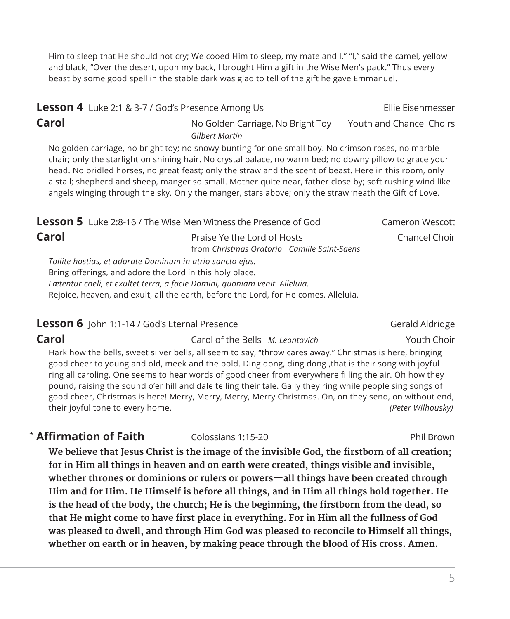Him to sleep that He should not cry; We cooed Him to sleep, my mate and I." "I," said the camel, yellow and black, "Over the desert, upon my back, I brought Him a gift in the Wise Men's pack." Thus every beast by some good spell in the stable dark was glad to tell of the gift he gave Emmanuel.

#### **Lesson 4** Luke 2:1 & 3-7 / God's Presence Among Us Ellie Eisenmesser **Carol** Carol No Golden Carriage, No Bright Toy Youth and Chancel Choirs *Gilbert Martin*

 No golden carriage, no bright toy; no snowy bunting for one small boy. No crimson roses, no marble chair; only the starlight on shining hair. No crystal palace, no warm bed; no downy pillow to grace your head. No bridled horses, no great feast; only the straw and the scent of beast. Here in this room, only a stall; shepherd and sheep, manger so small. Mother quite near, father close by; soft rushing wind like angels winging through the sky. Only the manger, stars above; only the straw 'neath the Gift of Love.

| <b>Lesson 5</b> Luke 2:8-16 / The Wise Men Witness the Presence of God |                                             | Cameron Wescott |
|------------------------------------------------------------------------|---------------------------------------------|-----------------|
| Carol                                                                  | Praise Ye the Lord of Hosts                 | Chancel Choir   |
|                                                                        | from Christmas Oratorio Camille Saint-Saens |                 |
| Tollite hostias, et adorate Dominum in atrio sancto ejus.              |                                             |                 |
| Bring offerings, and adore the Lord in this holy place                 |                                             |                 |

Bring offerings, and adore the Lord in this holy place. *Lætentur coeli, et exultet terra, a facie Domini, quoniam venit. Alleluia.* Rejoice, heaven, and exult, all the earth, before the Lord, for He comes. Alleluia.

#### **Lesson 6** John 1:1-14 / God's Eternal Presence Gerald Aldridge Gerald Aldridge

**Carol** Carol of the Bells *M. Leontovich* Youth Choir Hark how the bells, sweet silver bells, all seem to say, "throw cares away." Christmas is here, bringing good cheer to young and old, meek and the bold. Ding dong, ding dong ,that is their song with joyful ring all caroling. One seems to hear words of good cheer from everywhere filling the air. Oh how they pound, raising the sound o'er hill and dale telling their tale. Gaily they ring while people sing songs of good cheer, Christmas is here! Merry, Merry, Merry, Merry Christmas. On, on they send, on without end, their joyful tone to every home. *(Peter Wilhousky)*

#### **Affirmation of Faith** Colossians 1:15-20 Constant Phil Brown

**We believe that Jesus Christ is the image of the invisible God, the firstborn of all creation; for in Him all things in heaven and on earth were created, things visible and invisible, whether thrones or dominions or rulers or powers—all things have been created through Him and for Him. He Himself is before all things, and in Him all things hold together. He is the head of the body, the church; He is the beginning, the firstborn from the dead, so that He might come to have first place in everything. For in Him all the fullness of God was pleased to dwell, and through Him God was pleased to reconcile to Himself all things, whether on earth or in heaven, by making peace through the blood of His cross. Amen.**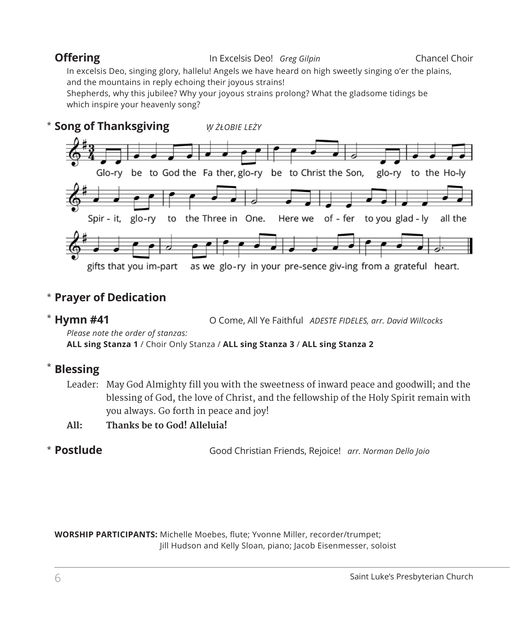#### **Offering** The In Excelsis Deo! *Greg Gilpin* Chancel Choir

In excelsis Deo, singing glory, hallelu! Angels we have heard on high sweetly singing o'er the plains, and the mountains in reply echoing their joyous strains!

Shepherds, why this jubilee? Why your joyous strains prolong? What the gladsome tidings be which inspire your heavenly song?



#### **Prayer of Dedication** \*

#### $*$  Hymn #41

**Hymn #41** O Come, All Ye Faithful *ADESTE FIDELES, arr. David Willcocks*

*Please note the order of stanzas:* 

**ALL sing Stanza 1** / Choir Only Stanza / **ALL sing Stanza 3** / **ALL sing Stanza 2**

#### **Blessing** \*

 Leader: May God Almighty fill you with the sweetness of inward peace and goodwill; and the blessing of God, the love of Christ, and the fellowship of the Holy Spirit remain with you always. Go forth in peace and joy!

**All: Thanks be to God! Alleluia!**

#### \* Postlude

**Postlude** Good Christian Friends, Rejoice! *arr. Norman Dello Joio*

**WORSHIP PARTICIPANTS:** Michelle Moebes, flute; Yvonne Miller, recorder/trumpet; Jill Hudson and Kelly Sloan, piano; Jacob Eisenmesser, soloist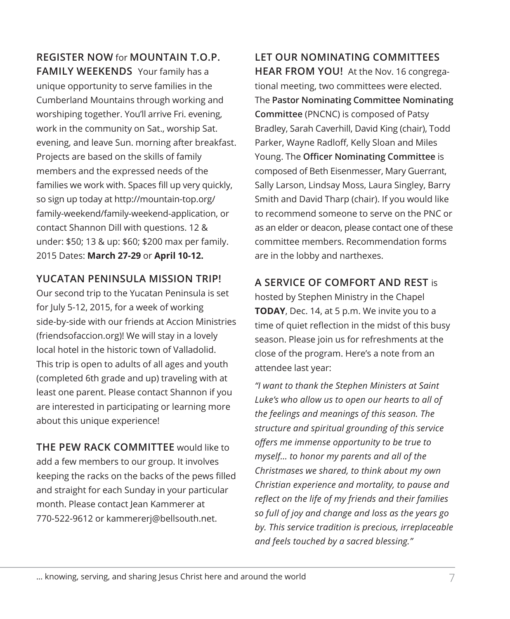**REGISTER NOW** for **MOUNTAIN T.O.P. FAMILY WEEKENDS** Your family has a unique opportunity to serve families in the Cumberland Mountains through working and worshiping together. You'll arrive Fri. evening, work in the community on Sat., worship Sat. evening, and leave Sun. morning after breakfast. Projects are based on the skills of family members and the expressed needs of the families we work with. Spaces fill up very quickly, so sign up today at http://mountain-top.org/ family-weekend/family-weekend-application, or contact Shannon Dill with questions. 12 & under: \$50; 13 & up: \$60; \$200 max per family. 2015 Dates: **March 27-29** or **April 10-12.**

#### **YUCATAN PENINSULA MISSION TRIP!**

Our second trip to the Yucatan Peninsula is set for July 5-12, 2015, for a week of working side-by-side with our friends at Accion Ministries (friendsofaccion.org)! We will stay in a lovely local hotel in the historic town of Valladolid. This trip is open to adults of all ages and youth (completed 6th grade and up) traveling with at least one parent. Please contact Shannon if you are interested in participating or learning more about this unique experience!

**THE PEW RACK COMMITTEE** would like to add a few members to our group. It involves keeping the racks on the backs of the pews filled and straight for each Sunday in your particular month. Please contact Jean Kammerer at 770-522-9612 or kammererj@bellsouth.net.

**LET OUR NOMINATING COMMITTEES HEAR FROM YOU!** At the Nov. 16 congregational meeting, two committees were elected. The **Pastor Nominating Committee Nominating Committee** (PNCNC) is composed of Patsy Bradley, Sarah Caverhill, David King (chair), Todd Parker, Wayne Radloff, Kelly Sloan and Miles Young. The **Officer Nominating Committee** is composed of Beth Eisenmesser, Mary Guerrant, Sally Larson, Lindsay Moss, Laura Singley, Barry Smith and David Tharp (chair). If you would like to recommend someone to serve on the PNC or as an elder or deacon, please contact one of these committee members. Recommendation forms are in the lobby and narthexes.

#### **A SERVICE OF COMFORT AND REST** is

hosted by Stephen Ministry in the Chapel **TODAY**, Dec. 14, at 5 p.m. We invite you to a time of quiet reflection in the midst of this busy season. Please join us for refreshments at the close of the program. Here's a note from an attendee last year:

*"I want to thank the Stephen Ministers at Saint Luke's who allow us to open our hearts to all of the feelings and meanings of this season. The structure and spiritual grounding of this service offers me immense opportunity to be true to myself… to honor my parents and all of the Christmases we shared, to think about my own Christian experience and mortality, to pause and reflect on the life of my friends and their families so full of joy and change and loss as the years go by. This service tradition is precious, irreplaceable and feels touched by a sacred blessing."*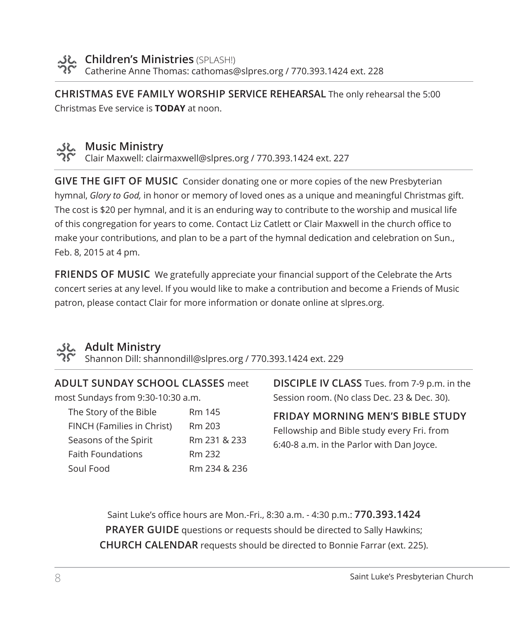

**Children's Ministries** (SPLASH!) Catherine Anne Thomas: cathomas@slpres.org / 770.393.1424 ext. 228

**CHRISTMAS EVE FAMILY WORSHIP SERVICE REHEARSAL** The only rehearsal the 5:00 Christmas Eve service is **TODAY** at noon.



#### **Music Ministry**

Clair Maxwell: clairmaxwell@slpres.org / 770.393.1424 ext. 227

**GIVE THE GIFT OF MUSIC** Consider donating one or more copies of the new Presbyterian hymnal, *Glory to God,* in honor or memory of loved ones as a unique and meaningful Christmas gift. The cost is \$20 per hymnal, and it is an enduring way to contribute to the worship and musical life of this congregation for years to come. Contact Liz Catlett or Clair Maxwell in the church office to make your contributions, and plan to be a part of the hymnal dedication and celebration on Sun., Feb. 8, 2015 at 4 pm.

**FRIENDS OF MUSIC** We gratefully appreciate your financial support of the Celebrate the Arts concert series at any level. If you would like to make a contribution and become a Friends of Music patron, please contact Clair for more information or donate online at slpres.org.



#### **Adult Ministry**

Shannon Dill: shannondill@slpres.org / 770.393.1424 ext. 229

#### **ADULT SUNDAY SCHOOL CLASSES** meet

most Sundays from 9:30-10:30 a.m.

| The Story of the Bible     | Rm 145       |
|----------------------------|--------------|
| FINCH (Families in Christ) | Rm 203       |
| Seasons of the Spirit      | Rm 231 & 233 |
| <b>Faith Foundations</b>   | Rm 232       |
| Soul Food                  | Rm 234 & 236 |

**DISCIPLE IV CLASS** Tues. from 7-9 p.m. in the Session room. (No class Dec. 23 & Dec. 30).

**FRIDAY MORNING MEN'S BIBLE STUDY**  Fellowship and Bible study every Fri. from 6:40-8 a.m. in the Parlor with Dan Joyce.

Saint Luke's office hours are Mon.-Fri., 8:30 a.m. - 4:30 p.m.: **770.393.1424 PRAYER GUIDE** questions or requests should be directed to Sally Hawkins; **CHURCH CALENDAR** requests should be directed to Bonnie Farrar (ext. 225).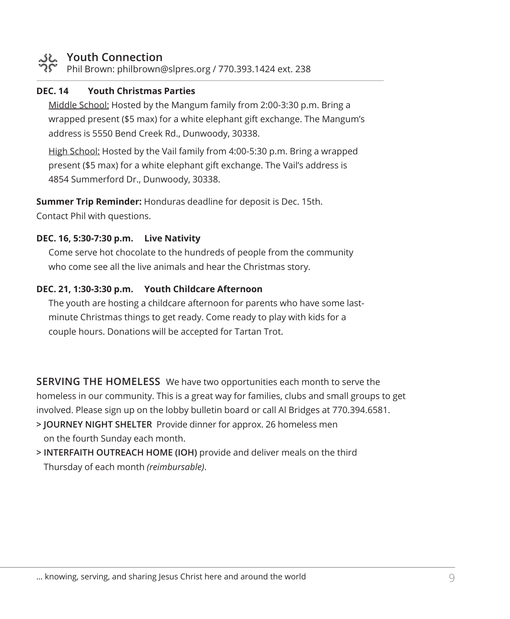### **Youth Connection**

Phil Brown: philbrown@slpres.org / 770.393.1424 ext. 238

#### **DEC. 14 Youth Christmas Parties**

 Middle School: Hosted by the Mangum family from 2:00-3:30 p.m. Bring a wrapped present (\$5 max) for a white elephant gift exchange. The Mangum's address is 5550 Bend Creek Rd., Dunwoody, 30338.

High School: Hosted by the Vail family from 4:00-5:30 p.m. Bring a wrapped present (\$5 max) for a white elephant gift exchange. The Vail's address is 4854 Summerford Dr., Dunwoody, 30338.

**Summer Trip Reminder:** Honduras deadline for deposit is Dec. 15th.

Contact Phil with questions.

#### **DEC. 16, 5:30-7:30 p.m. Live Nativity**

 Come serve hot chocolate to the hundreds of people from the community who come see all the live animals and hear the Christmas story.

#### **DEC. 21, 1:30-3:30 p.m. Youth Childcare Afternoon**

 The youth are hosting a childcare afternoon for parents who have some lastminute Christmas things to get ready. Come ready to play with kids for a couple hours. Donations will be accepted for Tartan Trot.

**SERVING THE HOMELESS** We have two opportunities each month to serve the homeless in our community. This is a great way for families, clubs and small groups to get involved. Please sign up on the lobby bulletin board or call Al Bridges at 770.394.6581.

- **> JOURNEY NIGHT SHELTER** Provide dinner for approx. 26 homeless men on the fourth Sunday each month.
- **> INTERFAITH OUTREACH HOME (IOH)** provide and deliver meals on the third Thursday of each month *(reimbursable)*.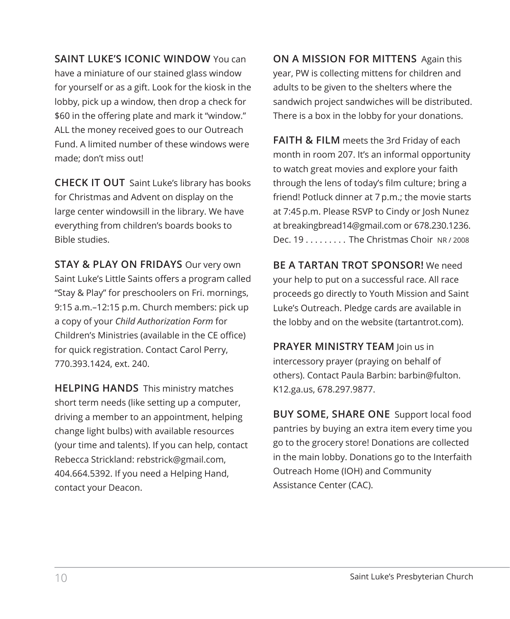**SAINT LUKE'S ICONIC WINDOW** You can have a miniature of our stained glass window for yourself or as a gift. Look for the kiosk in the lobby, pick up a window, then drop a check for \$60 in the offering plate and mark it "window." ALL the money received goes to our Outreach Fund. A limited number of these windows were

**CHECK IT OUT** Saint Luke's library has books for Christmas and Advent on display on the large center windowsill in the library. We have everything from children's boards books to Bible studies.

made; don't miss out!

**STAY & PLAY ON FRIDAYS** Our very own Saint Luke's Little Saints offers a program called "Stay & Play" for preschoolers on Fri. mornings, 9:15 a.m.–12:15 p.m. Church members: pick up a copy of your *Child Authorization Form* for Children's Ministries (available in the CE office) for quick registration. Contact Carol Perry, 770.393.1424, ext. 240.

**HELPING HANDS** This ministry matches short term needs (like setting up a computer, driving a member to an appointment, helping change light bulbs) with available resources (your time and talents). If you can help, contact Rebecca Strickland: rebstrick@gmail.com, 404.664.5392. If you need a Helping Hand, contact your Deacon.

**ON A MISSION FOR MITTENS** Again this year, PW is collecting mittens for children and adults to be given to the shelters where the sandwich project sandwiches will be distributed. There is a box in the lobby for your donations.

**FAITH & FILM** meets the 3rd Friday of each month in room 207. It's an informal opportunity to watch great movies and explore your faith through the lens of today's film culture; bring a friend! Potluck dinner at 7 p.m.; the movie starts at 7:45 p.m. Please RSVP to Cindy or Josh Nunez at breakingbread14@gmail.com or 678.230.1236. Dec.  $19, \ldots, \ldots$  The Christmas Choir NR/2008

**BE A TARTAN TROT SPONSOR!** We need your help to put on a successful race. All race proceeds go directly to Youth Mission and Saint Luke's Outreach. Pledge cards are available in the lobby and on the website (tartantrot.com).

**PRAYER MINISTRY TEAM** Join us in intercessory prayer (praying on behalf of others). Contact Paula Barbin: barbin@fulton. K12.ga.us, 678.297.9877.

**BUY SOME, SHARE ONE** Support local food pantries by buying an extra item every time you go to the grocery store! Donations are collected in the main lobby. Donations go to the Interfaith Outreach Home (IOH) and Community Assistance Center (CAC).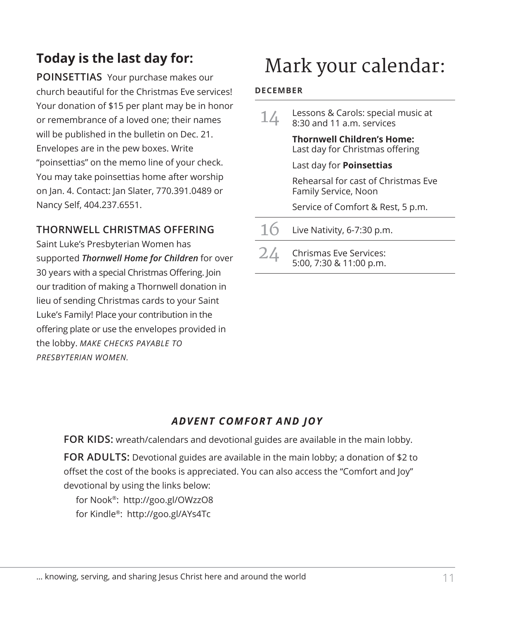### **Today is the last day for:**

**POINSETTIAS** Your purchase makes our church beautiful for the Christmas Eve services! Your donation of \$15 per plant may be in honor or remembrance of a loved one; their names will be published in the bulletin on Dec. 21. Envelopes are in the pew boxes. Write "poinsettias" on the memo line of your check. You may take poinsettias home after worship on Jan. 4. Contact: Jan Slater, 770.391.0489 or Nancy Self, 404.237.6551.

#### **THORNWELL CHRISTMAS OFFERING**

Saint Luke's Presbyterian Women has supported *Thornwell Home for Children* for over 30 years with a special Christmas Offering. Join our tradition of making a Thornwell donation in lieu of sending Christmas cards to your Saint Luke's Family! Place your contribution in the offering plate or use the envelopes provided in the lobby. *MAKE CHECKS PAYABLE TO PRESBYTERIAN WOMEN.*

## Mark your calendar:

#### **DECEMBER**

| 14 | Lessons & Carols: special music at<br>8:30 and 11 a.m. services      |
|----|----------------------------------------------------------------------|
|    | <b>Thornwell Children's Home:</b><br>Last day for Christmas offering |
|    | Last day for <b>Poinsettias</b>                                      |
|    | Rehearsal for cast of Christmas Eve<br>Family Service, Noon          |
|    | Service of Comfort & Rest, 5 p.m.                                    |

- $16$  Live Nativity, 6-7:30 p.m.
- $24$  Chrismas Eve Services: 5:00, 7:30 & 11:00 p.m.

#### *ADVENT COMFORT AND JOY*

**FOR KIDS:** wreath/calendars and devotional guides are available in the main lobby. **FOR ADULTS:** Devotional guides are available in the main lobby; a donation of \$2 to offset the cost of the books is appreciated. You can also access the "Comfort and Joy" devotional by using the links below:

for Nook®: http://goo.gl/OWzzO8 for Kindle®: http://goo.gl/AYs4Tc